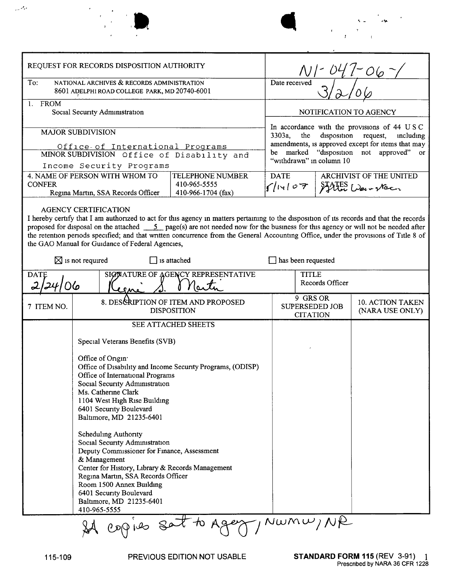| REQUEST FOR RECORDS DISPOSITION AUTHORITY                                                                                                                                                                                                                                                                                                                                                                                                                                                                                                                                                                     |                                                                                                                                                                                                                                                                                                                                                                                                                                                                                                                                                                                                                                                           |  | $\sim$ 06                                                                                                                                                                                                                                 |                       |                                            |  |
|---------------------------------------------------------------------------------------------------------------------------------------------------------------------------------------------------------------------------------------------------------------------------------------------------------------------------------------------------------------------------------------------------------------------------------------------------------------------------------------------------------------------------------------------------------------------------------------------------------------|-----------------------------------------------------------------------------------------------------------------------------------------------------------------------------------------------------------------------------------------------------------------------------------------------------------------------------------------------------------------------------------------------------------------------------------------------------------------------------------------------------------------------------------------------------------------------------------------------------------------------------------------------------------|--|-------------------------------------------------------------------------------------------------------------------------------------------------------------------------------------------------------------------------------------------|-----------------------|--------------------------------------------|--|
| To:<br>NATIONAL ARCHIVES & RECORDS ADMINISTRATION<br>8601 ADELPHI ROAD COLLEGE PARK, MD 20740-6001                                                                                                                                                                                                                                                                                                                                                                                                                                                                                                            |                                                                                                                                                                                                                                                                                                                                                                                                                                                                                                                                                                                                                                                           |  | Date received                                                                                                                                                                                                                             |                       |                                            |  |
| 1. FROM<br>Social Security Administration                                                                                                                                                                                                                                                                                                                                                                                                                                                                                                                                                                     |                                                                                                                                                                                                                                                                                                                                                                                                                                                                                                                                                                                                                                                           |  | NOTIFICATION TO AGENCY                                                                                                                                                                                                                    |                       |                                            |  |
| <b>MAJOR SUBDIVISION</b><br>Office- of International Programs<br>MINOR SUBDIVISION Office of Disability and<br>Income Security Programs                                                                                                                                                                                                                                                                                                                                                                                                                                                                       |                                                                                                                                                                                                                                                                                                                                                                                                                                                                                                                                                                                                                                                           |  | In accordance with the provisions of 44 USC<br>3303a,<br>the<br>disposition<br>request,<br>including<br>amendments, is approved except for items that may<br>marked<br>"disposition not approved"<br>be<br>or<br>"withdrawn" in column 10 |                       |                                            |  |
| <b>CONFER</b>                                                                                                                                                                                                                                                                                                                                                                                                                                                                                                                                                                                                 | 4. NAME OF PERSON WITH WHOM TO<br><b>TELEPHONE NUMBER</b><br>410-965-5555<br>Regina Martin, SSA Records Officer<br>410-966-1704 (fax)                                                                                                                                                                                                                                                                                                                                                                                                                                                                                                                     |  | <b>DATE</b><br>s/14107                                                                                                                                                                                                                    |                       | ARCHIVIST OF THE UNITED<br>States Weix Nac |  |
| <b>AGENCY CERTIFICATION</b><br>I hereby certify that I am authorized to act for this agency in matters pertaining to the disposition of its records and that the records<br>proposed for disposal on the attached $\_\_\_5\_\_\_page{\text{page(s)}}$ are not needed now for the business for this agency or will not be needed after<br>the retention periods specified; and that written concurrence from the General Accounting Office, under the provisions of Title 8 of<br>the GAO Manual for Guidance of Federal Agencies,<br>$\boxtimes$ is not required<br>$\prod$ is attached<br>has been requested |                                                                                                                                                                                                                                                                                                                                                                                                                                                                                                                                                                                                                                                           |  |                                                                                                                                                                                                                                           |                       |                                            |  |
| SIGNATURE OF AGENCY REPRESENTATIVE<br><b>DATE</b>                                                                                                                                                                                                                                                                                                                                                                                                                                                                                                                                                             |                                                                                                                                                                                                                                                                                                                                                                                                                                                                                                                                                                                                                                                           |  | <b>TITLE</b><br>Records Officer                                                                                                                                                                                                           |                       |                                            |  |
|                                                                                                                                                                                                                                                                                                                                                                                                                                                                                                                                                                                                               |                                                                                                                                                                                                                                                                                                                                                                                                                                                                                                                                                                                                                                                           |  | 9 GRS OR                                                                                                                                                                                                                                  |                       |                                            |  |
| 7 ITEM NO.                                                                                                                                                                                                                                                                                                                                                                                                                                                                                                                                                                                                    | 8. DESCRIPTION OF ITEM AND PROPOSED<br><b>DISPOSITION</b>                                                                                                                                                                                                                                                                                                                                                                                                                                                                                                                                                                                                 |  | <b>CITATION</b>                                                                                                                                                                                                                           | <b>SUPERSEDED JOB</b> | 10. ACTION TAKEN<br>(NARA USE ONLY)        |  |
|                                                                                                                                                                                                                                                                                                                                                                                                                                                                                                                                                                                                               | SEE ATTACHED SHEETS<br>Special Veterans Benefits (SVB)<br>Office of Origin<br>Office of Disability and Income Security Programs, (ODISP)<br>Office of International Programs<br>Social Security Administration<br>Ms. Catherine Clark<br>1104 West High Rise Building<br>6401 Security Boulevard<br>Baltimore, MD 21235-6401<br><b>Scheduling Authority</b><br>Social Security Administration<br>Deputy Commissioner for Finance, Assessment<br>& Management<br>Center for History, Library & Records Management<br>Regina Martin, SSA Records Officer<br>Room 1500 Annex Building<br>6401 Security Boulevard<br>Baltimore, MD 21235-6401<br>410-965-5555 |  |                                                                                                                                                                                                                                           |                       |                                            |  |
|                                                                                                                                                                                                                                                                                                                                                                                                                                                                                                                                                                                                               | copies sat to Agent                                                                                                                                                                                                                                                                                                                                                                                                                                                                                                                                                                                                                                       |  |                                                                                                                                                                                                                                           | Numw/NR               |                                            |  |

المنافرين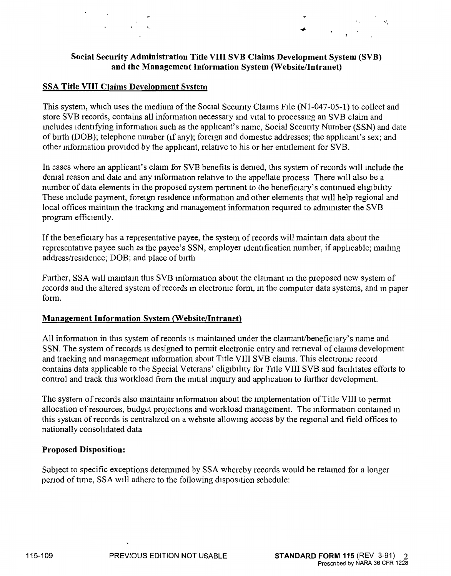## **Social Security Administration Title VIII SVB Claims Development System (SVB) and the Management Information System (Website/Intranet)**

## **SSA Title VIII Claims Development System**

..

This system, which uses the medium of the Social Security Claims File (N1-047-05-1) to collect and store SVB records, contains all information necessary and vital to processing an SVB claim and mcludes identifying information such as the applicant's name, Social Secunty Number (SSN) and date of birth (DOB); telephone number (if any); foreign and domestic addresses; the applicant's sex; and other mformation provided by the applicant, relative to his or her entitlement for SVB.

In cases where an applicant's claim for SVB benefits is demed, this system ofrecords will mclude the demal reason and date and any information relative to the appellate process There will also be a number of data elements in the proposed system pertinent to the beneficiary's continued eligibility These include payment, foreign residence information and other elements that will help regional and local offices maintain the tracking and management information required to administer the SVB program efficiently.

If the beneficiary has a representative payee, the system of records will maintam data about the representative payee such as the payee's SSN, employer identification number, if applicable; mailmg address/residence; DOB; and place of birth

Further, SSA will maintain this SVB information about the claimant in the proposed new system of records and the altered system of records m electromc form, m the computer data systems, and m paper form.

#### **Management Information System (Website/Intranet)**

All information in this system of records is maintained under the claimant/beneficiary's name and SSN. The system of records is designed to permit electronic entry and retrieval of claims development and tracking and management mformation about Title VIII SVB claims. This electromc record contains data applicable to the Special Veterans' eligibility for Title VIII SVB and facilitates efforts to control and track this workload from the initial inquiry and application to further development.

The system of records also maintains information about the implementation of Title VIII to permit allocation of resources, budget projections and workload management. The information contained in this system of records is centralized on a website allowing access by the regional and field offices to nationally consolidated data

#### **Proposed Disposition:**

Subject to specific exceptions determmed by SSA whereby records would be retamed for a longer penod of time, SSA will adhere to the following disposition schedule: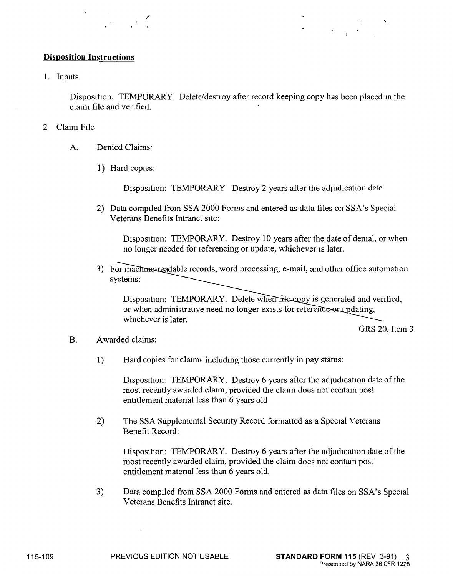## **Disposition Instructions**

1. Inputs

Disposition. TEMPORARY. Delete/destroy after record keeping copy has been placed in the claim file and venfied.

- 2 Claim File
	- A. Denied Claims:
		- 1) Hard copies:

Disposition: TEMPORARY Destroy 2 years after the adjudication date.

2) Data compiled from SSA 2000 Forms and entered as data files on SSA's Special Veterans Benefits Intranet site:

Disposition: TEMPORARY. Destroy 10 years after the date of demal, or when no longer needed for referencing or update, whichever 1s later.

3) For machine-readable records, word processing, e-mail, and other office automation systems:

Disposition: TEMPORARY. Delete when file copy is generated and verified, or when administrative need no longer exists for reference-or updating, whichever is later.

GRS 20, Item 3

 $\mathbf{v}^{\star}$ 

- B. Awarded claims:
	- 1) Hard copies for claims includmg those currently in pay status:

Disposition: TEMPORARY. Destroy 6 years after the adjudication date of the most recently awarded claim, provided the claim does not contam post entitlement matenal less than 6 years old

2) The SSA Supplemental Secunty Record formatted as a Special Veterans Benefit Record:

Disposition: TEMPORARY. Destroy 6 years after the adjudication date of the most recently awarded claim, provided the claim does not contam post entitlement matenal less than 6 years old.

3) Data compiled from SSA 2000 Forms and entered as data files on SSA's Special Veterans Benefits Intranet site.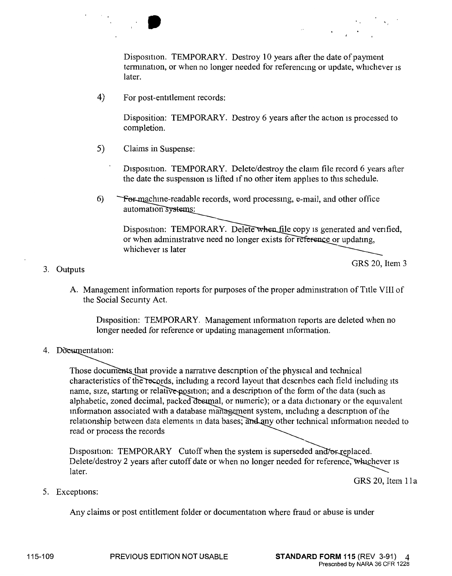Disposition. TEMPORARY. Destroy 10 years after the date of payment termination, or when no longer needed for referencing or update, whichever is later.

4) For post-entitlement records:

Disposition: TEMPORARY. Destroy 6 years after the action 1s processed to completion.

5) Claims in Suspense:

Disposition. TEMPORARY. Delete/destroy the claim file record 6 years after the date the suspension 1s lifted 1f no other item apphes to this schedule.

6) Formachine-readable records, word processing, e-mail, and other office automation systems:

Disposition: TEMPORARY. Delete when file copy is generated and verified, or when administrative need no longer exists for reference or updating, whichever 1s later

# GRS 20, Item 3

A. Management information reports for purposes of the proper administration of Title VIII of the Social Secunty Act.

Disposition: TEMPORARY. Management information reports are deleted when no longer needed for reference or updating management mformation.

4. Documentation:

3. Outputs

Those documents that provide a narrative description of the physical and technical characteristics of the records, including a record layout that describes each field including its name, size, starting or relative position; and a description of the form of the data (such as alphabetic, zoned decimal, packed desimal, or numeric); or a data dictionary or the equivalent information associated with a database management system, including a description of the relationship between data elements in data bases; and any other technical information needed to read or process the records

Disposition: TEMPORARY Cutoff when the system is superseded and/or-replaced. Delete/destroy 2 years after cutoff date or when no longer needed for reference, whichever is later.

GRS 20, Item 11a

Prescribed by NARA 36 CFR 1228

5. Exceptions:

Any claims or post entitlement folder or documentation where fraud or abuse is under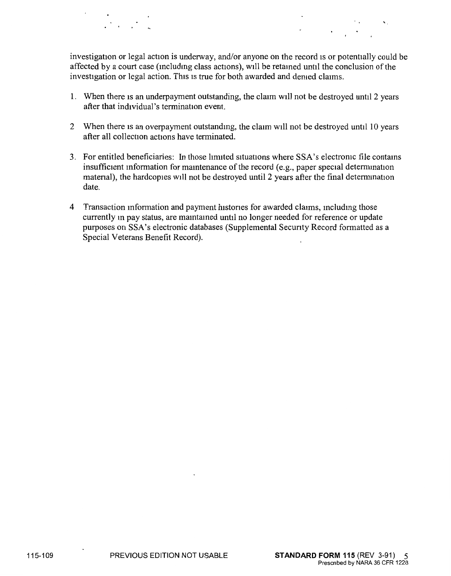investigation or legal action is underway, and/or anyone on the record is or potentially could be affected by a court case (including class actions), will be retained until the conclusion of the investigation or legal action. This is true for both awarded and demed claims.

- 1. When there is an underpayment outstanding, the claim will not be destroyed until 2 years after that individual's termination event.
- 2 When there is an overpayment outstandmg, the claim will not be destroyed until 10 years after all collection actions have terminated.
- 3. For entitled beneficiaries: In those lmuted situations where SSA's electromc file contams insufficient information for maintenance of the record (e.g., paper special determination matenal), the hardcopies will not be destroyed until 2 years after the final detemunation date.
- 4 Transaction mformation and payment histones for awarded claims, mcludmg those currently m pay status, are mamtamed until no longer needed for reference or update purposes on SSA's electronic databases (Supplemental Secunty Record fonnatted as a Special Veterans Benefit Record).

'·